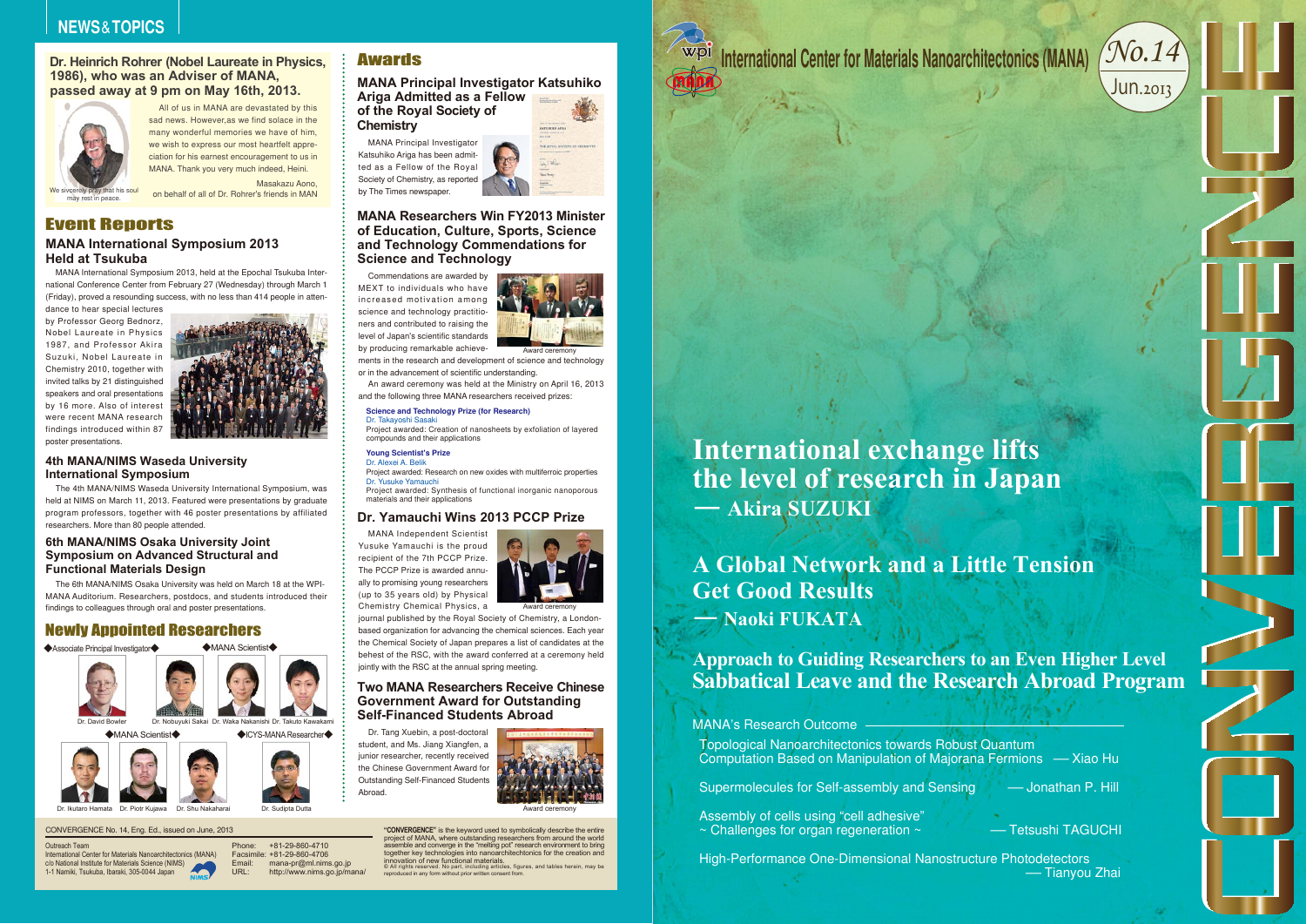#### CONVERGENCE No. 14, Eng. Ed., issued on June, 2013

Outreach Team

 International Center for Materials Nanoarchitectonics (MANA) c/o National Institute for Materials Science (NIMS) 1-1 Namiki, Tsukuba, Ibaraki, 305-0044 Japan

assemble and converge in the "melting pot" research environment to bring together key technologies into nanoarchitechtonics for the creation and innovation of new functional materials.<br>© All rights reserved. No part, including articles, figures, and tables herein, may be<br>reproduced in any form without prior written consent from.



Phone: Facsimile: +81-29-860-4706Email:URL: +81-29-860-4710mana-pr@ml.nims.go.jp http://www.nims.go.jp/mana/

#### **Awards**

**"CONVERGENCE"** is the keyword used to symbolically describe the entire project of MANA, where outstanding researchers from around the world

Dr. Ikutaro Hamata

MANA Independent Scientist



Yusuke Yamauchi is the proud recipient of the 7th PCCP Prize. The PCCP Prize is awarded annually to promising young researchers (up to 35 years old) by Physical Chemistry Chemical Physics, a



journal published by the Royal Society of Chemistry, a Londonbased organization for advancing the chemical sciences. Each year the Chemical Society of Japan prepares a list of candidates at the behest of the RSC, with the award conferred at a ceremony held jointly with the RSC at the annual spring meeting.

Commendations are awarded by MEXT to individuals who have increased motivation among science and technology practitioners and contributed to raising the level of Japan's scientific standards by producing remarkable achieve-

ments in the research and development of science and technology or in the advancement of scientific understanding.

An award ceremony was held at the Ministry on April 16, 2013 and the following three MANA researchers received prizes:

#### **Dr. Heinrich Rohrer (Nobel Laureate in Physics, 1986), who was an Adviser of MANA, passed away at 9 pm on May 16th, 2013.**

#### **4th MANA/NIMS Waseda University International Symposium**

MANA International Symposium 2013, held at the Epochal Tsukuba International Conference Center from February 27 (Wednesday) through March 1 (Friday), proved a resounding success, with no less than 414 people in attendance to hear special lectures

#### **MANA International Symposium 2013 Held at Tsukuba**Event Reports

by Professor Georg Bednorz, Nobel Laureate in Physics 1987, and Professor Akira Suzuki, Nobel Laureate in Chemistry 2010, together with invited talks by 21 distinguished speakers and oral presentations by 16 more. Also of interest were recent MANA research findings introduced within 87 poster presentations.



Assembly of cells using "cell adhesive" ~ Challenges for organ regeneration ~ - - - Tetsushi TAGUCHI

# A International Center for Materials Nanoarchitectonics (MANA) (NO. 14)<br>
Mathematical Center for Materials Nanoarchitectonics (MANA) (NO. 14)<br>
International exchange lifts<br>
the level of research in Japan<br>
— Akira SUZUKI<br>
A **International exchange lifts the level of research in Japan - Akira SUZUKI**





Dr. Piotr Kujawa Dr. Shu Nakaharai

All of us in MANA are devastated by this sad news. However,as we find solace in the many wonderful memories we have of him, we wish to express our most heartfelt appreciation for his earnest encouragement to us in MANA. Thank you very much indeed, Heini.

Masakazu Aono, on behalf of all of Dr. Rohrer's friends in MAN

The 4th MANA/NIMS Waseda University International Symposium, was held at NIMS on March 11, 2013. Featured were presentations by graduate program professors, together with 46 poster presentations by affiliated researchers. More than 80 people attended.

#### **6th MANA/NIMS Osaka University Joint Symposium on Advanced Structural and Functional Materials Design**

The 6th MANA/NIMS Osaka University was held on March 18 at the WPI-MANA Auditorium. Researchers, postdocs, and students introduced their findings to colleagues through oral and poster presentations.

#### **MANA Principal Investigator Katsuhiko Ariga Admitted as a Fellow**

**of the Royal Society of Chemistry**

MANA Principal Investigator Katsuhiko Ariga has been admitted as a Fellow of the Royal Society of Chemistry, as reported by The Times newspaper.



#### **MANA Researchers Win FY2013 Minister of Education, Culture, Sports, Science and Technology Commendations for Science and Technology**

#### **Dr. Yamauchi Wins 2013 PCCP Prize**

#### **Two MANA Researchers Receive ChineseGovernment Award for Outstanding Self-Financed Students Abroad**

Dr. Tang Xuebin, a post-doctoral student, and Ms. Jiang Xiangfen, a junior researcher, recently received the Chinese Government Award for Outstanding Self-Financed Students Abroad.



Award ceremony

Award ceremony





-Jonathan P. Hill

-Tianyou Zhai

#### **Science and Technology Prize (for Research)**

Dr. Takayoshi Sasaki

Project awarded: Creation of nanosheets by exfoliation of layered compounds and their applications

#### **Young Scientist's Prize**

#### Dr. Alexei A. Belik

Project awarded: Research on new oxides with multiferroic properties Dr. Yusuke Yamauchi

 Project awarded: Synthesis of functional inorganic nanoporous materials and their applications

#### Newly Appointed Researchers



High-Performance One-Dimensional Nanostructure Photodetectors

Supermolecules for Self-assembly and Sensing

# **- Naoki FUKATAA Global Network and a Little Tension Get Good Results**

### **Approach to Guiding Researchers to an Even Higher Level Sabbatical Leave and the Research Abroad Program**

— Xiao Hu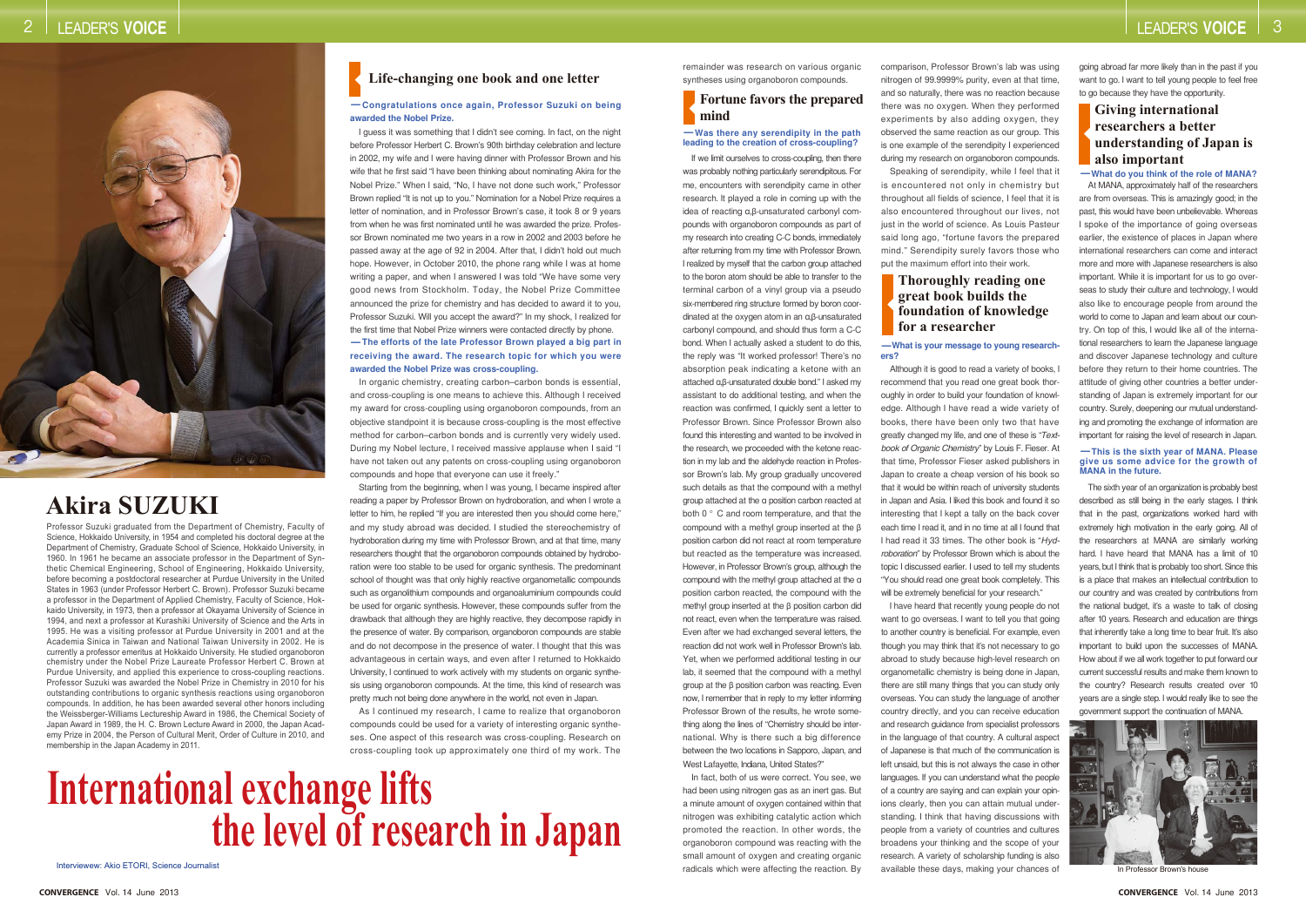Professor Suzuki graduated from the Department of Chemistry, Faculty of Science, Hokkaido University, in 1954 and completed his doctoral degree at the Department of Chemistry, Graduate School of Science, Hokkaido University, in 1960. In 1961 he became an associate professor in the Department of Synthetic Chemical Engineering, School of Engineering, Hokkaido University, before becoming a postdoctoral researcher at Purdue University in the United States in 1963 (under Professor Herbert C. Brown). Professor Suzuki became a professor in the Department of Applied Chemistry, Faculty of Science, Hokkaido University, in 1973, then a professor at Okayama University of Science in 1994, and next a professor at Kurashiki University of Science and the Arts in 1995. He was a visiting professor at Purdue University in 2001 and at the Academia Sinica in Taiwan and National Taiwan University in 2002. He is currently a professor emeritus at Hokkaido University. He studied organoboron chemistry under the Nobel Prize Laureate Professor Herbert C. Brown at Purdue University, and applied this experience to cross-coupling reactions. Professor Suzuki was awarded the Nobel Prize in Chemistry in 2010 for his outstanding contributions to organic synthesis reactions using organoboron compounds. In addition, he has been awarded several other honors including the Weissberger-Williams Lectureship Award in 1986, the Chemical Society of Japan Award in 1989, the H. C. Brown Lecture Award in 2000, the Japan Academy Prize in 2004, the Person of Cultural Merit, Order of Culture in 2010, and membership in the Japan Academy in 2011.

# **International exchange lifts the level of research in Japan**

Interviewew: Akio ETORI, Science Journalist

# **Akira SUZUKI**

remainder was research on various organic syntheses using organoboron compounds.

If we limit ourselves to cross-coupling, then there was probably nothing particularly serendipitous. For me, encounters with serendipity came in other research. It played a role in coming up with the idea of reacting <sup>α</sup>,β-unsaturated carbonyl compounds with organoboron compounds as part of my research into creating C-C bonds, immediately after returning from my time with Professor Brown. I realized by myself that the carbon group attached to the boron atom should be able to transfer to the terminal carbon of a vinyl group via a pseudo six-membered ring structure formed by boron coordinated at the oxygen atom in an <sup>α</sup>,β-unsaturated carbonyl compound, and should thus form a C-C bond. When I actually asked a student to do this, the reply was "It worked professor! There's no absorption peak indicating a ketone with an attached α,β-unsaturated double bond." I asked my assistant to do additional testing, and when the reaction was confirmed, I quickly sent a letter to Professor Brown. Since Professor Brown also found this interesting and wanted to be involved in the research, we proceeded with the ketone reaction in my lab and the aldehyde reaction in Professor Brown's lab. My group gradually uncovered such details as that the compound with a methyl group attached at the α position carbon reacted at both 0 ° C and room temperature, and that the compound with a methyl group inserted at the β position carbon did not react at room temperature but reacted as the temperature was increased. However, in Professor Brown's group, although the compound with the methyl group attached at the <sup>α</sup> position carbon reacted, the compound with the methyl group inserted at the β position carbon did not react, even when the temperature was raised. Even after we had exchanged several letters, the reaction did not work well in Professor Brown's lab. Yet, when we performed additional testing in our lab, it seemed that the compound with a methyl group at the β position carbon was reacting. Even now, I remember that in reply to my letter informing Professor Brown of the results, he wrote something along the lines of "Chemistry should be international. Why is there such a big difference between the two locations in Sapporo, Japan, and West Lafayette, Indiana, United States?"

In fact, both of us were correct. You see, we had been using nitrogen gas as an inert gas. But a minute amount of oxygen contained within that nitrogen was exhibiting catalytic action which promoted the reaction. In other words, the organoboron compound was reacting with the small amount of oxygen and creating organic radicals which were affecting the reaction. By

comparison, Professor Brown's lab was using nitrogen of 99.9999% purity, even at that time, and so naturally, there was no reaction because there was no oxygen. When they performed experiments by also adding oxygen, they observed the same reaction as our group. This is one example of the serendipity I experienced during my research on organoboron compounds. is encountered not only in chemistry but throughout all fields of science, I feel that it is also encountered throughout our lives, not just in the world of science. As Louis Pasteur said long ago, "fortune favors the prepared mind." Serendipity surely favors those who put the maximum effort into their work.

Speaking of serendipity, while I feel that it

In organic chemistry, creating carbon–carbon bonds is essential, and cross-coupling is one means to achieve this. Although I received my award for cross-coupling using organoboron compounds, from an objective standpoint it is because cross-coupling is the most effective method for carbon–carbon bonds and is currently very widely used. During my Nobel lecture, I received massive applause when I said "I have not taken out any patents on cross-coupling using organoboron compounds and hope that everyone can use it freely.

Although it is good to read a variety of books, I recommend that you read one great book thoroughly in order to build your foundation of knowledge. Although I have read a wide variety of books, there have been only two that have greatly changed my life, and one of these is "*Textbook of Organic Chemistry*" by Louis F. Fieser. At that time, Professor Fieser asked publishers in Japan to create a cheap version of his book so that it would be within reach of university students in Japan and Asia. I liked this book and found it so interesting that I kept a tally on the back cover each time I read it, and in no time at all I found that I had read it 33 times. The other book is "*Hydroboration*" by Professor Brown which is about the topic I discussed earlier. I used to tell my students "You should read one great book completely. This will be extremely beneficial for your research."

I guess it was something that I didn't see coming. In fact, on the night before Professor Herbert C. Brown's 90th birthday celebration and lecture in 2002, my wife and I were having dinner with Professor Brown and his wife that he first said "I have been thinking about nominating Akira for the Nobel Prize." When I said, "No, I have not done such work," Professor Brown replied "It is not up to you." Nomination for a Nobel Prize requires a letter of nomination, and in Professor Brown's case, it took 8 or 9 years from when he was first nominated until he was awarded the prize. Professor Brown nominated me two years in a row in 2002 and 2003 before he passed away at the age of 92 in 2004. After that, I didn't hold out much hope. However, in October 2010, the phone rang while I was at home writing a paper, and when I answered I was told "We have some very good news from Stockholm. Today, the Nobel Prize Committee announced the prize for chemistry and has decided to award it to you, Professor Suzuki. Will you accept the award?" In my shock, I realized for the first time that Nobel Prize winners were contacted directly by phone. **-The efforts of the late Professor Brown played a big part in receiving the award. The research topic for which you were awarded the Nobel Prize was cross-coupling.**

> I have heard that recently young people do not want to go overseas. I want to tell you that going to another country is beneficial. For example, even though you may think that it's not necessary to go abroad to study because high-level research on organometallic chemistry is being done in Japan, there are still many things that you can study only overseas. You can study the language of another country directly, and you can receive education and research guidance from specialist professors in the language of that country. A cultural aspect of Japanese is that much of the communication is left unsaid, but this is not always the case in other languages. If you can understand what the people of a country are saying and can explain your opinions clearly, then you can attain mutual understanding. I think that having discussions with people from a variety of countries and cultures broadens your thinking and the scope of your research. A variety of scholarship funding is also available these days, making your chances of

going abroad far more likely than in the past if you want to go. I want to tell young people to feel free to go because they have the opportunity.

At MANA, approximately half of the researchers are from overseas. This is amazingly good; in the past, this would have been unbelievable. Whereas I spoke of the importance of going overseas earlier, the existence of places in Japan where international researchers can come and interact more and more with Japanese researchers is also important. While it is important for us to go overseas to study their culture and technology, I would also like to encourage people from around the world to come to Japan and learn about our country. On top of this, I would like all of the international researchers to learn the Japanese language and discover Japanese technology and culture before they return to their home countries. The attitude of giving other countries a better understanding of Japan is extremely important for our country. Surely, deepening our mutual understanding and promoting the exchange of information are important for raising the level of research in Japan.

The sixth year of an organization is probably best described as still being in the early stages. I think that in the past, organizations worked hard with extremely high motivation in the early going. All of the researchers at MANA are similarly working hard. I have heard that MANA has a limit of 10 years, but I think that is probably too short. Since this is a place that makes an intellectual contribution to our country and was created by contributions from the national budget, it's a waste to talk of closing after 10 years. Research and education are things that inherently take a long time to bear fruit. It's also important to build upon the successes of MANA. How about if we all work together to put forward our current successful results and make them known to the country? Research results created over 10 years are a single step. I would really like to see the government support the continuation of MANA.



In Professor Brown's house

Starting from the beginning, when I was young, I became inspired after reading a paper by Professor Brown on hydroboration, and when I wrote a letter to him, he replied "If you are interested then you should come here," and my study abroad was decided. I studied the stereochemistry of hydroboration during my time with Professor Brown, and at that time, many researchers thought that the organoboron compounds obtained by hydroboration were too stable to be used for organic synthesis. The predominant school of thought was that only highly reactive organometallic compounds such as organolithium compounds and organoaluminium compounds could be used for organic synthesis. However, these compounds suffer from the drawback that although they are highly reactive, they decompose rapidly in the presence of water. By comparison, organoboron compounds are stable and do not decompose in the presence of water. I thought that this was advantageous in certain ways, and even after I returned to Hokkaido University, I continued to work actively with my students on organic synthesis using organoboron compounds. At the time, this kind of research was pretty much not being done anywhere in the world, not even in Japan.

As I continued my research, I came to realize that organoboron compounds could be used for a variety of interesting organic syntheses. One aspect of this research was cross-coupling. Research on cross-coupling took up approximately one third of my work. The

#### **Life-changing one book and one letter**

#### **-Congratulations once again, Professor Suzuki on being awarded the Nobel Prize.**

#### **Fortune favors the prepared mind**

#### **-Was there any serendipity in the path leading to the creation of cross-coupling?**

#### **-What is your message to young researchers?**

#### **Thoroughly reading one great book builds the foundation of knowledge for a researcher**

#### **Giving international researchers a better understanding of Japan is also important**

#### **-What do you think of the role of MANA?**

#### **-This is the sixth year of MANA. Please give us some advice for the growth of MANA in the future.**

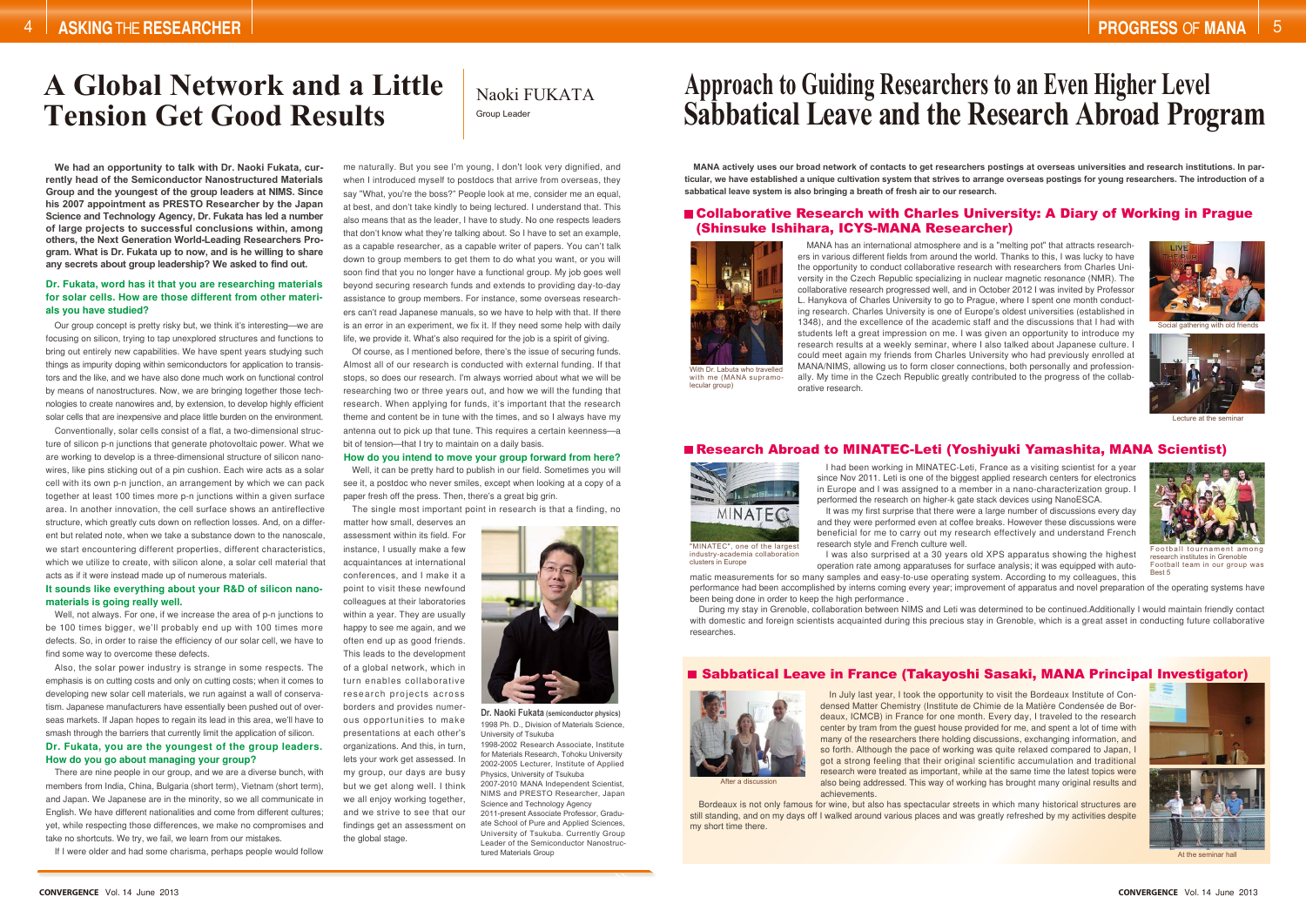I had been working in MINATEC-Leti, France as a visiting scientist for a year since Nov 2011. Leti is one of the biggest applied research centers for electronics in Europe and I was assigned to a member in a nano-characterization group. I performed the research on higher-k gate stack devices using NanoESCA. It was my first surprise that there were a large number of discussions every day and they were performed even at coffee breaks. However these discussions were beneficial for me to carry out my research effectively and understand French research style and French culture well.

During my stay in Grenoble, collaboration between NIMS and Leti was determined to be continued.Additionally I would maintain friendly contact with domestic and foreign scientists acquainted during this precious stay in Grenoble, which is a great asset in conducting future collaborative researches.

#### ■ Sabbatical Leave in France (Takayoshi Sasaki, MANA Principal Investigator)

In July last year, I took the opportunity to visit the Bordeaux Institute of Condensed Matter Chemistry (Institute de Chimie de la Matière Condensée de Bordeaux, ICMCB) in France for one month. Every day, I traveled to the research center by tram from the quest house provided for me, and spent a lot of time with many of the researchers there holding discussions, exchanging information, and so forth. Although the pace of working was quite relaxed compared to Japan, I got a strong feeling that their original scientific accumulation and traditional research were treated as important, while at the same time the latest topics were also being addressed. This way of working has brought many original results and achievements.

"MINATEC", one of the largest industry-academia collaboration clusters in Europe

Bordeaux is not only famous for wine, but also has spectacular streets in which many historical structures are still standing, and on my days off I walked around various places and was greatly refreshed by my activities despite my short time there.

I was also surprised at a 30 years old XPS apparatus showing the highest operation rate among apparatuses for surface analysis; it was equipped with automatic measurements for so many samples and easy-to-use operating system. According to my colleagues, this performance had been accomplished by interns coming every year; improvement of apparatus and novel preparation of the operating systems have been being done in order to keep the high performance . research institutes in Grenoble Football team in our group was Best 5

# **A Global Network and a LittleTension Get Good Results** Group Leader

**MANA actively uses our broad network of contacts to get researchers postings at overseas universities and research institutions. In particular, we have established a unique cultivation system that strives to arrange overseas postings for young researchers. The introduction of a sabbatical leave system is also bringing a breath of fresh air to our research.**

#### Collaborative Research with Charles University: A Diary of Working in Prague (Shinsuke Ishihara, ICYS-MANA Researcher)

MANA has an international atmosphere and is a "melting pot" that attracts researchers in various different fields from around the world. Thanks to this, I was lucky to have the opportunity to conduct collaborative research with researchers from Charles University in the Czech Republic specializing in nuclear magnetic resonance (NMR). The collaborative research progressed well, and in October 2012 I was invited by Professor L. Hanykova of Charles University to go to Prague, where I spent one month conducting research. Charles University is one of Europe's oldest universities (established in 1348), and the excellence of the academic staff and the discussions that I had with students left a great impression on me. I was given an opportunity to introduce my research results at a weekly seminar, where I also talked about Japanese culture. I could meet again my friends from Charles University who had previously enrolled at MANA/NIMS, allowing us to form closer connections, both personally and professionally. My time in the Czech Republic greatly contributed to the progress of the collaborative research.



Research Abroad to MINATEC-Leti (Yoshiyuki Yamashita, MANA Scientist)





Football tournament among





Naoki FUKATA

1998-2002 Research Associate, Institute for Materials Research, Tohoku University 2002-2005 Lecturer, Institute of Applied Physics, University of Tsukuba

2007-2010 MANA Independent Scientist, NIMS and PRESTO Researcher, Japan Science and Technology Agency 2011-present Associate Professor, Graduate School of Pure and Applied Sciences, University of Tsukuba. Currently Group Leader of the Semiconductor Nanostructured Materials Group

# **Approach to Guiding Researchers to an Even Higher Level Sabbatical Leave and the Research Abroad Program**

Well, it can be pretty hard to publish in our field. Sometimes you will see it, a postdoc who never smiles, except when looking at a copy of a paper fresh off the press. Then, there's a great big grin.

#### **Dr. Fukata, word has it that you are researching materials for solar cells. How are those different from other materials you have studied?**

#### **How do you intend to move your group forward from here?**

#### **It sounds like everything about your R&D of silicon nanomaterials is going really well.**

matter how small, deserves an assessment within its field. For instance, I usually make a few acquaintances at international conferences, and I make it a point to visit these newfound colleagues at their laboratories within a year. They are usually happy to see me again, and we often end up as good friends. This leads to the development of a global network, which in turn enables collaborative research projects across borders and provides numerous opportunities to make presentations at each other's organizations. And this, in turn, lets your work get assessed. In my group, our days are busy but we get along well. I think we all enjoy working together, and we strive to see that our findings get an assessment on the global stage.



1998 Ph. D., Division of Materials Science University of Tsukuba **Dr. Naoki Fukata (semiconductor physics)**

**We had an opportunity to talk with Dr. Naoki Fukata, currently head of the Semiconductor Nanostructured Materials Group and the youngest of the group leaders at NIMS. Since his 2007 appointment as PRESTO Researcher by the Japan Science and Technology Agency, Dr. Fukata has led a number of large projects to successful conclusions within, among others, the Next Generation World-Leading Researchers Program. What is Dr. Fukata up to now, and is he willing to share any secrets about group leadership? We asked to find out.**

Our group concept is pretty risky but, we think it's interesting—we are focusing on silicon, trying to tap unexplored structures and functions to bring out entirely new capabilities. We have spent years studying such things as impurity doping within semiconductors for application to transistors and the like, and we have also done much work on functional control by means of nanostructures. Now, we are bringing together those technologies to create nanowires and, by extension, to develop highly efficient solar cells that are inexpensive and place little burden on the environment.

**Dr. Fukata, you are the youngest of the group leaders. How do you go about managing your group?** Also, the solar power industry is strange in some respects. The emphasis is on cutting costs and only on cutting costs; when it comes to developing new solar cell materials, we run against a wall of conservatism. Japanese manufacturers have essentially been pushed out of overseas markets. If Japan hopes to regain its lead in this area, we'll have to smash through the barriers that currently limit the application of silicon.

Conventionally, solar cells consist of a flat, a two-dimensional structure of silicon p-n junctions that generate photovoltaic power. What we are working to develop is a three-dimensional structure of silicon nanowires, like pins sticking out of a pin cushion. Each wire acts as a solar cell with its own p-n junction, an arrangement by which we can pack together at least 100 times more p-n junctions within a given surface area. In another innovation, the cell surface shows an antireflective structure, which greatly cuts down on reflection losses. And, on a different but related note, when we take a substance down to the nanoscale, we start encountering different properties, different characteristics which we utilize to create, with silicon alone, a solar cell material that acts as if it were instead made up of numerous materials.

Well, not always. For one, if we increase the area of p-n junctions to be 100 times bigger, we'll probably end up with 100 times more defects. So, in order to raise the efficiency of our solar cell, we have to find some way to overcome these defects.

There are nine people in our group, and we are a diverse bunch, with members from India, China, Bulgaria (short term), Vietnam (short term), and Japan. We Japanese are in the minority, so we all communicate in English. We have different nationalities and come from different cultures; yet, while respecting those differences, we make no compromises and take no shortcuts. We try, we fail, we learn from our mistakes.

If I were older and had some charisma, perhaps people would follow

me naturally. But you see I'm young, I don't look very dignified, and when I introduced myself to postdocs that arrive from overseas, they say "What, you're the boss?" People look at me, consider me an equal, at best, and don't take kindly to being lectured. I understand that. This also means that as the leader, I have to study. No one respects leaders that don't know what they're talking about. So I have to set an example, as a capable researcher, as a capable writer of papers. You can't talk down to group members to get them to do what you want, or you will soon find that you no longer have a functional group. My job goes well beyond securing research funds and extends to providing day-to-day assistance to group members. For instance, some overseas researchers can't read Japanese manuals, so we have to help with that. If there is an error in an experiment, we fix it. If they need some help with daily life, we provide it. What's also required for the job is a spirit of giving.

Of course, as I mentioned before, there's the issue of securing funds. Almost all of our research is conducted with external funding. If that stops, so does our research. I'm always worried about what we will be researching two or three years out, and how we will the funding that research. When applying for funds, it's important that the research theme and content be in tune with the times, and so I always have my antenna out to pick up that tune. This requires a certain keenness—a bit of tension—that I try to maintain on a daily basis.

The single most important point in research is that a finding, no

5



Social gathering with old friend



Lecture at the se